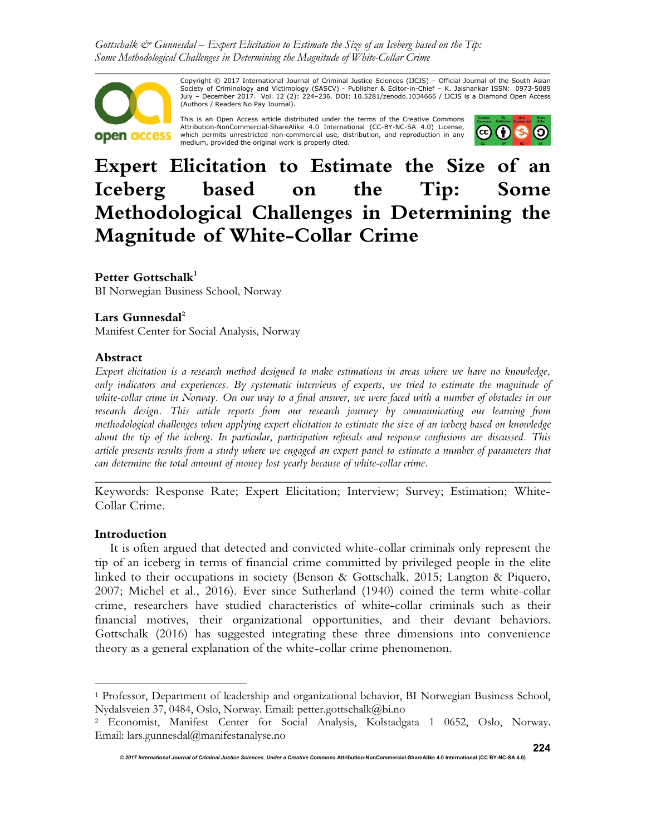

Copyright © 2017 International Journal of Criminal Justice Sciences (IJCJS) – Official Journal of the South Asian Copyright © 2017 International Journal of Criminal Justice Sciences (IJCJS) – Omicial Journal of the South Asian<br>Society of Criminology and Victimology (SASCV) - Publisher & Editor-in-Chief – K. Jaishankar ISSN: 0973-5089<br> (Authors / Readers No Pay Journal).

This is an Open Access article distributed under the terms of the Creative Commons Attribution-NonCommercial-ShareAlike 4.0 International (CC-BY-NC-SA 4.0) License,<br>which permits unrestricted non-commercial use, distribution, and reproduction in any<br>medium, provided the original work is properly cited.



# **Expert Elicitation to Estimate the Size of an Iceberg based on the Tip: Some Methodological Challenges in Determining the Magnitude of White-Collar Crime**

# **Petter Gottschalk<sup>1</sup>**

BI Norwegian Business School, Norway

# **Lars Gunnesdal<sup>2</sup>**

Manifest Center for Social Analysis, Norway

## **Abstract**

*Expert elicitation is a research method designed to make estimations in areas where we have no knowledge, only indicators and experiences. By systematic interviews of experts, we tried to estimate the magnitude of white-collar crime in Norway. On our way to a final answer, we were faced with a number of obstacles in our research design. This article reports from our research journey by communicating our learning from methodological challenges when applying expert elicitation to estimate the size of an iceberg based on knowledge about the tip of the iceberg. In particular, participation refusals and response confusions are discussed. This article presents results from a study where we engaged an expert panel to estimate a number of parameters that can determine the total amount of money lost yearly because of white-collar crime.* 

*\_\_\_\_\_\_\_\_\_\_\_\_\_\_\_\_\_\_\_\_\_\_\_\_\_\_\_\_\_\_\_\_\_\_\_\_\_\_\_\_\_\_\_\_\_\_\_\_\_\_\_\_\_\_\_\_\_\_\_\_\_\_\_\_\_\_\_\_\_\_\_\_* Keywords: Response Rate; Expert Elicitation; Interview; Survey; Estimation; White-Collar Crime.

## **Introduction**

1

It is often argued that detected and convicted white-collar criminals only represent the tip of an iceberg in terms of financial crime committed by privileged people in the elite linked to their occupations in society (Benson & Gottschalk, 2015; Langton & Piquero, 2007; Michel et al., 2016). Ever since Sutherland (1940) coined the term white-collar crime, researchers have studied characteristics of white-collar criminals such as their financial motives, their organizational opportunities, and their deviant behaviors. Gottschalk (2016) has suggested integrating these three dimensions into convenience theory as a general explanation of the white-collar crime phenomenon.

<sup>1</sup> Professor, Department of leadership and organizational behavior, BI Norwegian Business School, Nydalsveien 37, 0484, Oslo, Norway. Email: petter.gottschalk@bi.no

<sup>2</sup> Economist, Manifest Center for Social Analysis, Kolstadgata 1 0652, Oslo, Norway. Email: lars.gunnesdal@manifestanalyse.no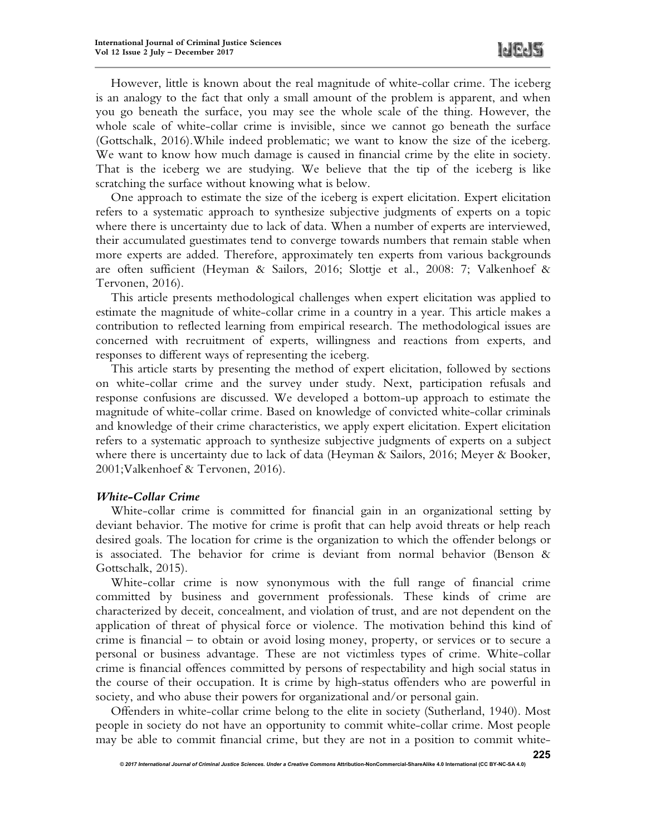However, little is known about the real magnitude of white-collar crime. The iceberg is an analogy to the fact that only a small amount of the problem is apparent, and when you go beneath the surface, you may see the whole scale of the thing. However, the whole scale of white-collar crime is invisible, since we cannot go beneath the surface (Gottschalk, 2016).While indeed problematic; we want to know the size of the iceberg. We want to know how much damage is caused in financial crime by the elite in society. That is the iceberg we are studying. We believe that the tip of the iceberg is like scratching the surface without knowing what is below.

One approach to estimate the size of the iceberg is expert elicitation. Expert elicitation refers to a systematic approach to synthesize subjective judgments of experts on a topic where there is uncertainty due to lack of data. When a number of experts are interviewed, their accumulated guestimates tend to converge towards numbers that remain stable when more experts are added. Therefore, approximately ten experts from various backgrounds are often sufficient (Heyman & Sailors, 2016; Slottje et al., 2008: 7; Valkenhoef & Tervonen, 2016).

This article presents methodological challenges when expert elicitation was applied to estimate the magnitude of white-collar crime in a country in a year. This article makes a contribution to reflected learning from empirical research. The methodological issues are concerned with recruitment of experts, willingness and reactions from experts, and responses to different ways of representing the iceberg.

This article starts by presenting the method of expert elicitation, followed by sections on white-collar crime and the survey under study. Next, participation refusals and response confusions are discussed. We developed a bottom-up approach to estimate the magnitude of white-collar crime. Based on knowledge of convicted white-collar criminals and knowledge of their crime characteristics, we apply expert elicitation. Expert elicitation refers to a systematic approach to synthesize subjective judgments of experts on a subject where there is uncertainty due to lack of data (Heyman & Sailors, 2016; Meyer & Booker, 2001;Valkenhoef & Tervonen, 2016).

## *White-Collar Crime*

White-collar crime is committed for financial gain in an organizational setting by deviant behavior. The motive for crime is profit that can help avoid threats or help reach desired goals. The location for crime is the organization to which the offender belongs or is associated. The behavior for crime is deviant from normal behavior (Benson  $\&$ Gottschalk, 2015).

White-collar crime is now synonymous with the full range of financial crime committed by business and government professionals. These kinds of crime are characterized by deceit, concealment, and violation of trust, and are not dependent on the application of threat of physical force or violence. The motivation behind this kind of crime is financial – to obtain or avoid losing money, property, or services or to secure a personal or business advantage. These are not victimless types of crime. White-collar crime is financial offences committed by persons of respectability and high social status in the course of their occupation. It is crime by high-status offenders who are powerful in society, and who abuse their powers for organizational and/or personal gain.

Offenders in white-collar crime belong to the elite in society (Sutherland, 1940). Most people in society do not have an opportunity to commit white-collar crime. Most people may be able to commit financial crime, but they are not in a position to commit white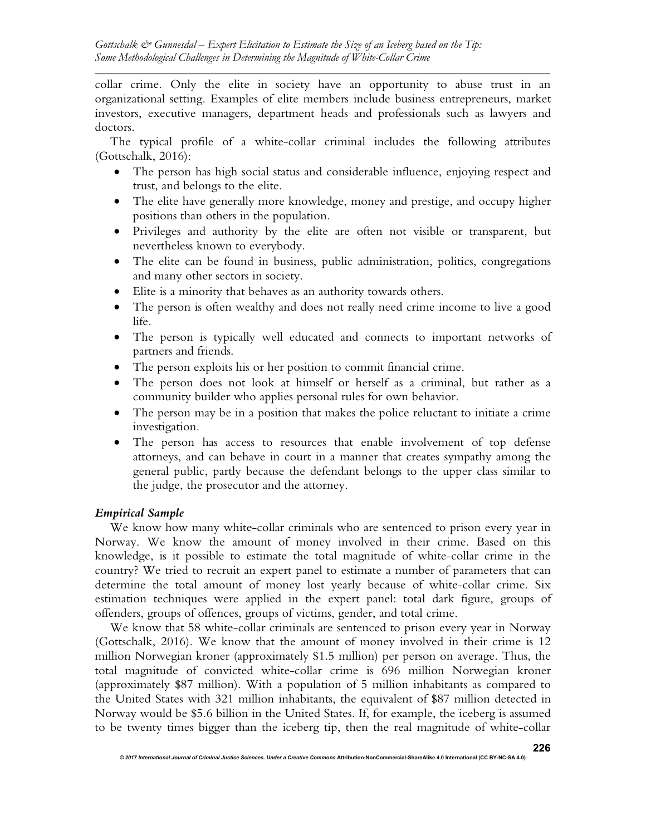collar crime. Only the elite in society have an opportunity to abuse trust in an organizational setting. Examples of elite members include business entrepreneurs, market investors, executive managers, department heads and professionals such as lawyers and doctors.

The typical profile of a white-collar criminal includes the following attributes (Gottschalk, 2016):

- The person has high social status and considerable influence, enjoying respect and trust, and belongs to the elite.
- The elite have generally more knowledge, money and prestige, and occupy higher positions than others in the population.
- Privileges and authority by the elite are often not visible or transparent, but nevertheless known to everybody.
- The elite can be found in business, public administration, politics, congregations and many other sectors in society.
- Elite is a minority that behaves as an authority towards others.
- The person is often wealthy and does not really need crime income to live a good life.
- The person is typically well educated and connects to important networks of partners and friends.
- The person exploits his or her position to commit financial crime.
- The person does not look at himself or herself as a criminal, but rather as a community builder who applies personal rules for own behavior.
- The person may be in a position that makes the police reluctant to initiate a crime investigation.
- The person has access to resources that enable involvement of top defense attorneys, and can behave in court in a manner that creates sympathy among the general public, partly because the defendant belongs to the upper class similar to the judge, the prosecutor and the attorney.

# *Empirical Sample*

We know how many white-collar criminals who are sentenced to prison every year in Norway. We know the amount of money involved in their crime. Based on this knowledge, is it possible to estimate the total magnitude of white-collar crime in the country? We tried to recruit an expert panel to estimate a number of parameters that can determine the total amount of money lost yearly because of white-collar crime. Six estimation techniques were applied in the expert panel: total dark figure, groups of offenders, groups of offences, groups of victims, gender, and total crime.

We know that 58 white-collar criminals are sentenced to prison every year in Norway (Gottschalk, 2016). We know that the amount of money involved in their crime is 12 million Norwegian kroner (approximately \$1.5 million) per person on average. Thus, the total magnitude of convicted white-collar crime is 696 million Norwegian kroner (approximately \$87 million). With a population of 5 million inhabitants as compared to the United States with 321 million inhabitants, the equivalent of \$87 million detected in Norway would be \$5.6 billion in the United States. If, for example, the iceberg is assumed to be twenty times bigger than the iceberg tip, then the real magnitude of white-collar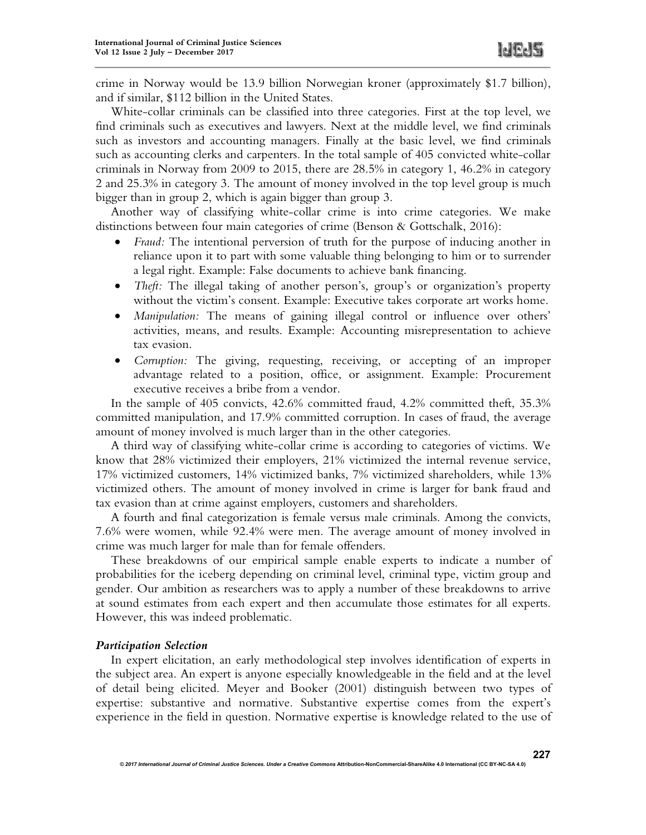crime in Norway would be 13.9 billion Norwegian kroner (approximately \$1.7 billion), and if similar, \$112 billion in the United States.

White-collar criminals can be classified into three categories. First at the top level, we find criminals such as executives and lawyers. Next at the middle level, we find criminals such as investors and accounting managers. Finally at the basic level, we find criminals such as accounting clerks and carpenters. In the total sample of 405 convicted white-collar criminals in Norway from 2009 to 2015, there are 28.5% in category 1, 46.2% in category 2 and 25.3% in category 3. The amount of money involved in the top level group is much bigger than in group 2, which is again bigger than group 3.

Another way of classifying white-collar crime is into crime categories. We make distinctions between four main categories of crime (Benson & Gottschalk, 2016):

- *Fraud:* The intentional perversion of truth for the purpose of inducing another in reliance upon it to part with some valuable thing belonging to him or to surrender a legal right. Example: False documents to achieve bank financing.
- *Theft:* The illegal taking of another person's, group's or organization's property without the victim's consent. Example: Executive takes corporate art works home.
- *Manipulation:* The means of gaining illegal control or influence over others' activities, means, and results. Example: Accounting misrepresentation to achieve tax evasion.
- *Corruption:* The giving, requesting, receiving, or accepting of an improper advantage related to a position, office, or assignment. Example: Procurement executive receives a bribe from a vendor.

In the sample of 405 convicts, 42.6% committed fraud, 4.2% committed theft, 35.3% committed manipulation, and 17.9% committed corruption. In cases of fraud, the average amount of money involved is much larger than in the other categories.

A third way of classifying white-collar crime is according to categories of victims. We know that 28% victimized their employers, 21% victimized the internal revenue service, 17% victimized customers, 14% victimized banks, 7% victimized shareholders, while 13% victimized others. The amount of money involved in crime is larger for bank fraud and tax evasion than at crime against employers, customers and shareholders.

A fourth and final categorization is female versus male criminals. Among the convicts, 7.6% were women, while 92.4% were men. The average amount of money involved in crime was much larger for male than for female offenders.

These breakdowns of our empirical sample enable experts to indicate a number of probabilities for the iceberg depending on criminal level, criminal type, victim group and gender. Our ambition as researchers was to apply a number of these breakdowns to arrive at sound estimates from each expert and then accumulate those estimates for all experts. However, this was indeed problematic.

## *Participation Selection*

In expert elicitation, an early methodological step involves identification of experts in the subject area. An expert is anyone especially knowledgeable in the field and at the level of detail being elicited. Meyer and Booker (2001) distinguish between two types of expertise: substantive and normative. Substantive expertise comes from the expert's experience in the field in question. Normative expertise is knowledge related to the use of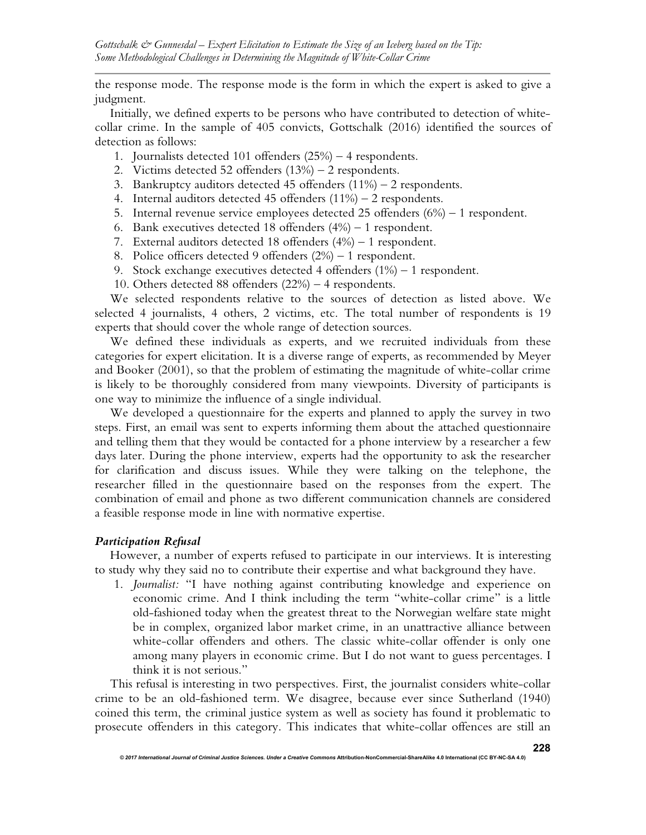the response mode. The response mode is the form in which the expert is asked to give a judgment.

Initially, we defined experts to be persons who have contributed to detection of whitecollar crime. In the sample of 405 convicts, Gottschalk (2016) identified the sources of detection as follows:

- 1. Journalists detected 101 offenders (25%) 4 respondents.
- 2. Victims detected 52 offenders (13%) 2 respondents.
- 3. Bankruptcy auditors detected 45 offenders  $(11\%)$  2 respondents.
- 4. Internal auditors detected 45 offenders  $(11\%) 2$  respondents.
- 5. Internal revenue service employees detected 25 offenders (6%) 1 respondent.
- 6. Bank executives detected 18 offenders  $(4%) 1$  respondent.
- 7. External auditors detected 18 offenders (4%) 1 respondent.
- 8. Police officers detected 9 offenders (2%) 1 respondent.
- 9. Stock exchange executives detected 4 offenders (1%) 1 respondent.
- 10. Others detected 88 offenders (22%) 4 respondents.

We selected respondents relative to the sources of detection as listed above. We selected 4 journalists, 4 others, 2 victims, etc. The total number of respondents is 19 experts that should cover the whole range of detection sources.

We defined these individuals as experts, and we recruited individuals from these categories for expert elicitation. It is a diverse range of experts, as recommended by Meyer and Booker (2001), so that the problem of estimating the magnitude of white-collar crime is likely to be thoroughly considered from many viewpoints. Diversity of participants is one way to minimize the influence of a single individual.

We developed a questionnaire for the experts and planned to apply the survey in two steps. First, an email was sent to experts informing them about the attached questionnaire and telling them that they would be contacted for a phone interview by a researcher a few days later. During the phone interview, experts had the opportunity to ask the researcher for clarification and discuss issues. While they were talking on the telephone, the researcher filled in the questionnaire based on the responses from the expert. The combination of email and phone as two different communication channels are considered a feasible response mode in line with normative expertise.

#### *Participation Refusal*

However, a number of experts refused to participate in our interviews. It is interesting to study why they said no to contribute their expertise and what background they have.

1. *Journalist:* "I have nothing against contributing knowledge and experience on economic crime. And I think including the term "white-collar crime" is a little old-fashioned today when the greatest threat to the Norwegian welfare state might be in complex, organized labor market crime, in an unattractive alliance between white-collar offenders and others. The classic white-collar offender is only one among many players in economic crime. But I do not want to guess percentages. I think it is not serious."

This refusal is interesting in two perspectives. First, the journalist considers white-collar crime to be an old-fashioned term. We disagree, because ever since Sutherland (1940) coined this term, the criminal justice system as well as society has found it problematic to prosecute offenders in this category. This indicates that white-collar offences are still an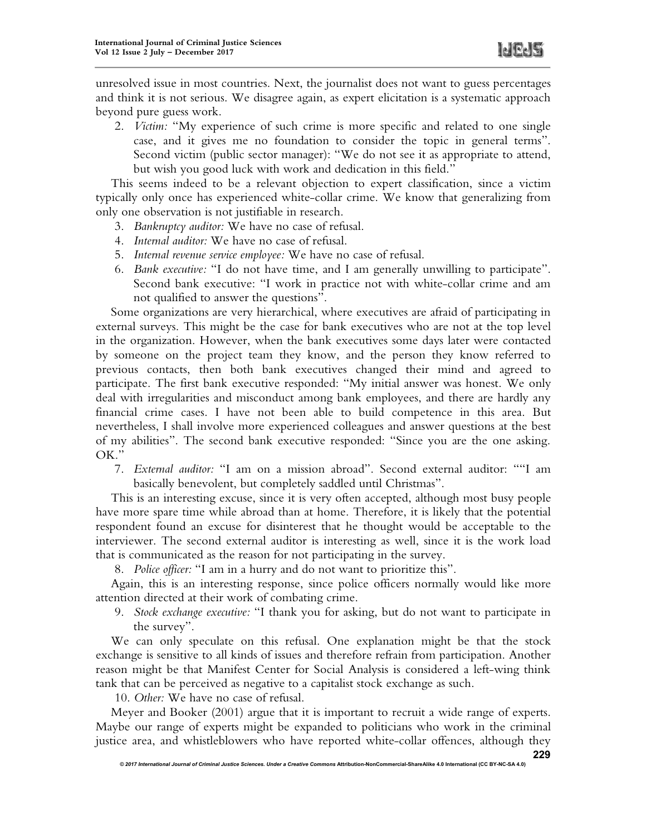unresolved issue in most countries. Next, the journalist does not want to guess percentages and think it is not serious. We disagree again, as expert elicitation is a systematic approach beyond pure guess work.

2. *Victim:* "My experience of such crime is more specific and related to one single case, and it gives me no foundation to consider the topic in general terms". Second victim (public sector manager): "We do not see it as appropriate to attend, but wish you good luck with work and dedication in this field."

This seems indeed to be a relevant objection to expert classification, since a victim typically only once has experienced white-collar crime. We know that generalizing from only one observation is not justifiable in research.

- 3. *Bankruptcy auditor:* We have no case of refusal.
- 4. *Internal auditor:* We have no case of refusal.
- 5. *Internal revenue service employee:* We have no case of refusal.
- 6. *Bank executive:* "I do not have time, and I am generally unwilling to participate". Second bank executive: "I work in practice not with white-collar crime and am not qualified to answer the questions".

Some organizations are very hierarchical, where executives are afraid of participating in external surveys. This might be the case for bank executives who are not at the top level in the organization. However, when the bank executives some days later were contacted by someone on the project team they know, and the person they know referred to previous contacts, then both bank executives changed their mind and agreed to participate. The first bank executive responded: "My initial answer was honest. We only deal with irregularities and misconduct among bank employees, and there are hardly any financial crime cases. I have not been able to build competence in this area. But nevertheless, I shall involve more experienced colleagues and answer questions at the best of my abilities". The second bank executive responded: "Since you are the one asking. OK."

7. *External auditor:* "I am on a mission abroad". Second external auditor: ""I am basically benevolent, but completely saddled until Christmas".

This is an interesting excuse, since it is very often accepted, although most busy people have more spare time while abroad than at home. Therefore, it is likely that the potential respondent found an excuse for disinterest that he thought would be acceptable to the interviewer. The second external auditor is interesting as well, since it is the work load that is communicated as the reason for not participating in the survey.

8. *Police officer:* "I am in a hurry and do not want to prioritize this".

Again, this is an interesting response, since police officers normally would like more attention directed at their work of combating crime.

9. *Stock exchange executive:* "I thank you for asking, but do not want to participate in the survey".

We can only speculate on this refusal. One explanation might be that the stock exchange is sensitive to all kinds of issues and therefore refrain from participation. Another reason might be that Manifest Center for Social Analysis is considered a left-wing think tank that can be perceived as negative to a capitalist stock exchange as such.

10. *Other:* We have no case of refusal.

Meyer and Booker (2001) argue that it is important to recruit a wide range of experts. Maybe our range of experts might be expanded to politicians who work in the criminal justice area, and whistleblowers who have reported white-collar offences, although they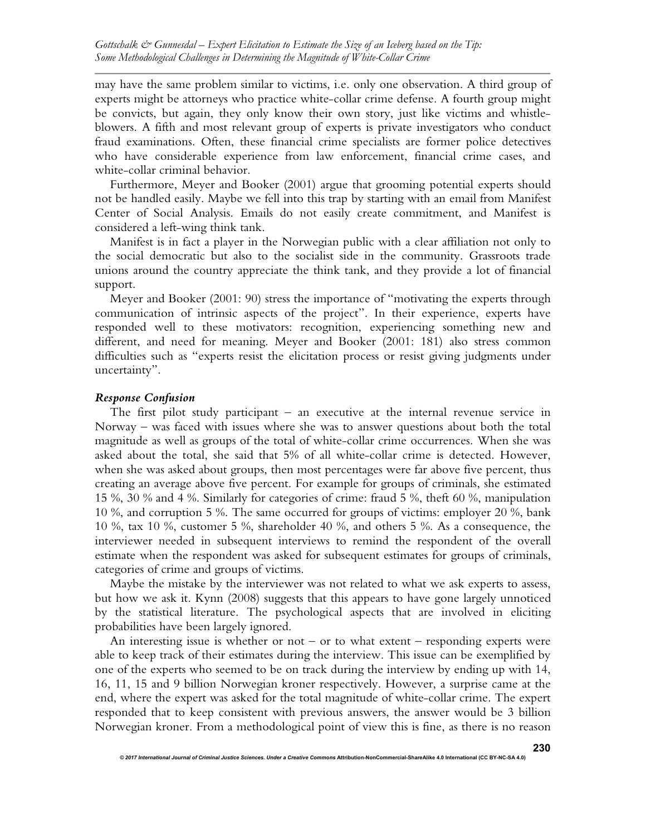may have the same problem similar to victims, i.e. only one observation. A third group of experts might be attorneys who practice white-collar crime defense. A fourth group might be convicts, but again, they only know their own story, just like victims and whistleblowers. A fifth and most relevant group of experts is private investigators who conduct fraud examinations. Often, these financial crime specialists are former police detectives who have considerable experience from law enforcement, financial crime cases, and white-collar criminal behavior.

Furthermore, Meyer and Booker (2001) argue that grooming potential experts should not be handled easily. Maybe we fell into this trap by starting with an email from Manifest Center of Social Analysis. Emails do not easily create commitment, and Manifest is considered a left-wing think tank.

Manifest is in fact a player in the Norwegian public with a clear affiliation not only to the social democratic but also to the socialist side in the community. Grassroots trade unions around the country appreciate the think tank, and they provide a lot of financial support.

Meyer and Booker (2001: 90) stress the importance of "motivating the experts through communication of intrinsic aspects of the project". In their experience, experts have responded well to these motivators: recognition, experiencing something new and different, and need for meaning. Meyer and Booker (2001: 181) also stress common difficulties such as "experts resist the elicitation process or resist giving judgments under uncertainty".

#### *Response Confusion*

The first pilot study participant – an executive at the internal revenue service in Norway – was faced with issues where she was to answer questions about both the total magnitude as well as groups of the total of white-collar crime occurrences. When she was asked about the total, she said that 5% of all white-collar crime is detected. However, when she was asked about groups, then most percentages were far above five percent, thus creating an average above five percent. For example for groups of criminals, she estimated 15 %, 30 % and 4 %. Similarly for categories of crime: fraud 5 %, theft 60 %, manipulation 10 %, and corruption 5 %. The same occurred for groups of victims: employer 20 %, bank 10 %, tax 10 %, customer 5 %, shareholder 40 %, and others 5 %. As a consequence, the interviewer needed in subsequent interviews to remind the respondent of the overall estimate when the respondent was asked for subsequent estimates for groups of criminals, categories of crime and groups of victims.

Maybe the mistake by the interviewer was not related to what we ask experts to assess, but how we ask it. Kynn (2008) suggests that this appears to have gone largely unnoticed by the statistical literature. The psychological aspects that are involved in eliciting probabilities have been largely ignored.

An interesting issue is whether or not  $-$  or to what extent  $-$  responding experts were able to keep track of their estimates during the interview. This issue can be exemplified by one of the experts who seemed to be on track during the interview by ending up with 14, 16, 11, 15 and 9 billion Norwegian kroner respectively. However, a surprise came at the end, where the expert was asked for the total magnitude of white-collar crime. The expert responded that to keep consistent with previous answers, the answer would be 3 billion Norwegian kroner. From a methodological point of view this is fine, as there is no reason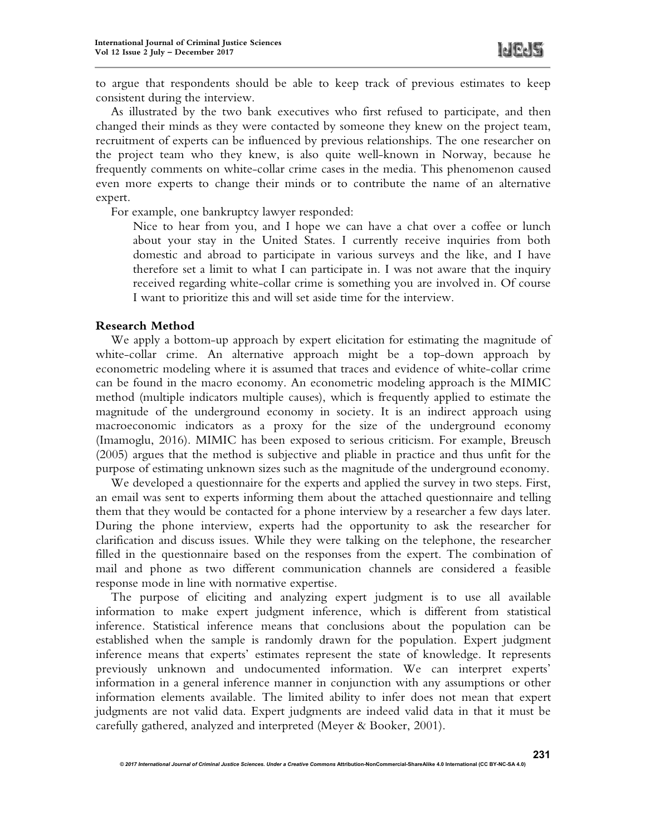to argue that respondents should be able to keep track of previous estimates to keep consistent during the interview.

As illustrated by the two bank executives who first refused to participate, and then changed their minds as they were contacted by someone they knew on the project team, recruitment of experts can be influenced by previous relationships. The one researcher on the project team who they knew, is also quite well-known in Norway, because he frequently comments on white-collar crime cases in the media. This phenomenon caused even more experts to change their minds or to contribute the name of an alternative expert.

For example, one bankruptcy lawyer responded:

Nice to hear from you, and I hope we can have a chat over a coffee or lunch about your stay in the United States. I currently receive inquiries from both domestic and abroad to participate in various surveys and the like, and I have therefore set a limit to what I can participate in. I was not aware that the inquiry received regarding white-collar crime is something you are involved in. Of course I want to prioritize this and will set aside time for the interview.

# **Research Method**

We apply a bottom-up approach by expert elicitation for estimating the magnitude of white-collar crime. An alternative approach might be a top-down approach by econometric modeling where it is assumed that traces and evidence of white-collar crime can be found in the macro economy. An econometric modeling approach is the MIMIC method (multiple indicators multiple causes), which is frequently applied to estimate the magnitude of the underground economy in society. It is an indirect approach using macroeconomic indicators as a proxy for the size of the underground economy (Imamoglu, 2016). MIMIC has been exposed to serious criticism. For example, Breusch (2005) argues that the method is subjective and pliable in practice and thus unfit for the purpose of estimating unknown sizes such as the magnitude of the underground economy.

We developed a questionnaire for the experts and applied the survey in two steps. First, an email was sent to experts informing them about the attached questionnaire and telling them that they would be contacted for a phone interview by a researcher a few days later. During the phone interview, experts had the opportunity to ask the researcher for clarification and discuss issues. While they were talking on the telephone, the researcher filled in the questionnaire based on the responses from the expert. The combination of mail and phone as two different communication channels are considered a feasible response mode in line with normative expertise.

The purpose of eliciting and analyzing expert judgment is to use all available information to make expert judgment inference, which is different from statistical inference. Statistical inference means that conclusions about the population can be established when the sample is randomly drawn for the population. Expert judgment inference means that experts' estimates represent the state of knowledge. It represents previously unknown and undocumented information. We can interpret experts' information in a general inference manner in conjunction with any assumptions or other information elements available. The limited ability to infer does not mean that expert judgments are not valid data. Expert judgments are indeed valid data in that it must be carefully gathered, analyzed and interpreted (Meyer & Booker, 2001).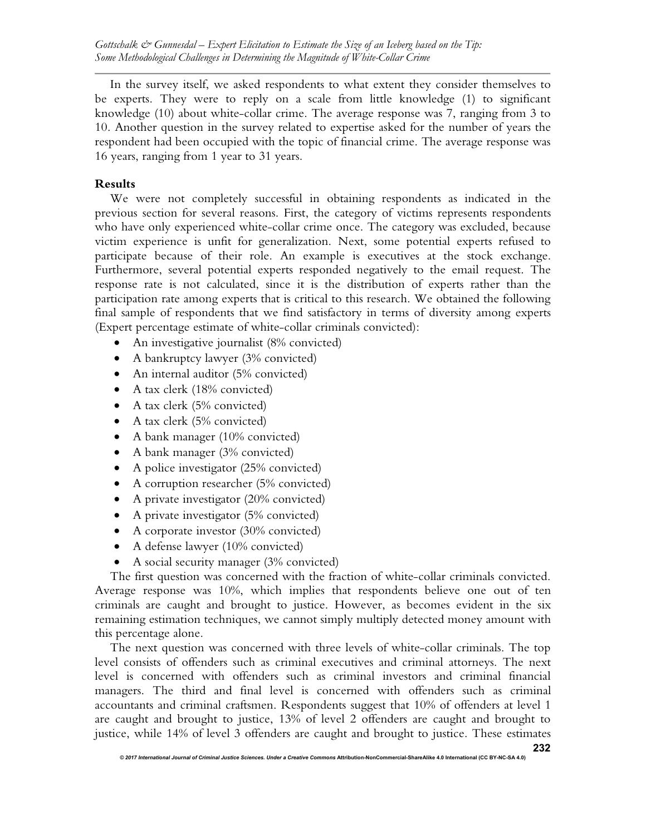In the survey itself, we asked respondents to what extent they consider themselves to be experts. They were to reply on a scale from little knowledge (1) to significant knowledge (10) about white-collar crime. The average response was 7, ranging from 3 to 10. Another question in the survey related to expertise asked for the number of years the respondent had been occupied with the topic of financial crime. The average response was 16 years, ranging from 1 year to 31 years.

# **Results**

We were not completely successful in obtaining respondents as indicated in the previous section for several reasons. First, the category of victims represents respondents who have only experienced white-collar crime once. The category was excluded, because victim experience is unfit for generalization. Next, some potential experts refused to participate because of their role. An example is executives at the stock exchange. Furthermore, several potential experts responded negatively to the email request. The response rate is not calculated, since it is the distribution of experts rather than the participation rate among experts that is critical to this research. We obtained the following final sample of respondents that we find satisfactory in terms of diversity among experts (Expert percentage estimate of white-collar criminals convicted):

- An investigative journalist (8% convicted)
- A bankruptcy lawyer (3% convicted)
- An internal auditor (5% convicted)
- A tax clerk (18% convicted)
- A tax clerk (5% convicted)
- A tax clerk (5% convicted)
- A bank manager (10% convicted)
- A bank manager (3% convicted)
- A police investigator (25% convicted)
- A corruption researcher (5% convicted)
- A private investigator (20% convicted)
- A private investigator (5% convicted)
- A corporate investor (30% convicted)
- A defense lawyer (10% convicted)
- A social security manager (3% convicted)

The first question was concerned with the fraction of white-collar criminals convicted. Average response was 10%, which implies that respondents believe one out of ten criminals are caught and brought to justice. However, as becomes evident in the six remaining estimation techniques, we cannot simply multiply detected money amount with this percentage alone.

The next question was concerned with three levels of white-collar criminals. The top level consists of offenders such as criminal executives and criminal attorneys. The next level is concerned with offenders such as criminal investors and criminal financial managers. The third and final level is concerned with offenders such as criminal accountants and criminal craftsmen. Respondents suggest that 10% of offenders at level 1 are caught and brought to justice, 13% of level 2 offenders are caught and brought to justice, while 14% of level 3 offenders are caught and brought to justice. These estimates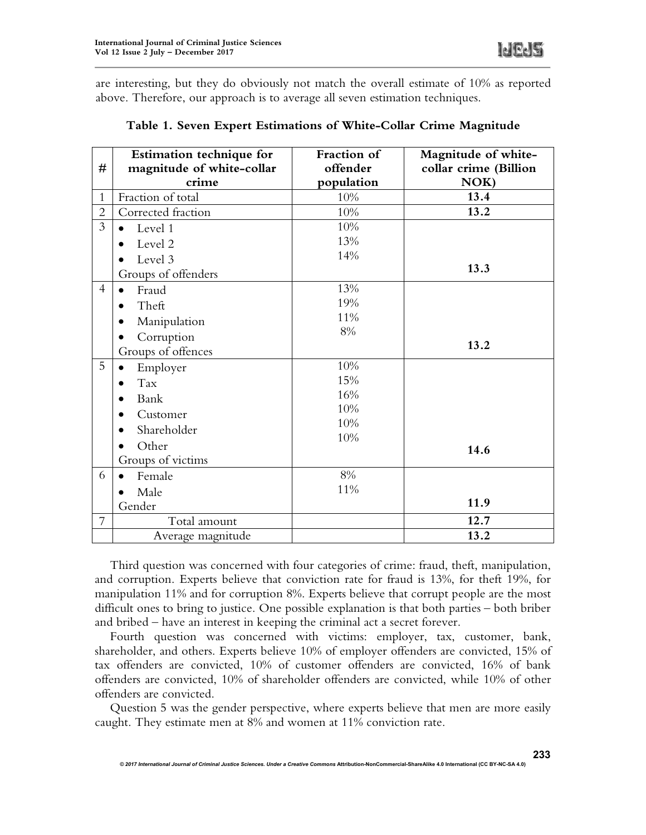are interesting, but they do obviously not match the overall estimate of 10% as reported above. Therefore, our approach is to average all seven estimation techniques.

| #              | Estimation technique for<br>magnitude of white-collar<br>crime | Fraction of<br>offender<br>population | Magnitude of white-<br>collar crime (Billion<br>NOK) |
|----------------|----------------------------------------------------------------|---------------------------------------|------------------------------------------------------|
| $\mathbf{1}$   | Fraction of total                                              | 10%                                   | 13.4                                                 |
| $\overline{2}$ | Corrected fraction                                             | 10%                                   | 13.2                                                 |
| $\overline{3}$ | Level 1                                                        | 10%                                   |                                                      |
|                | Level 2                                                        | 13%                                   |                                                      |
|                | Level 3                                                        | 14%                                   |                                                      |
|                | Groups of offenders                                            |                                       | 13.3                                                 |
| $\overline{4}$ | Fraud                                                          | 13%                                   |                                                      |
|                | Theft                                                          | 19%                                   |                                                      |
|                | Manipulation                                                   | 11%                                   |                                                      |
|                | Corruption                                                     | 8%                                    |                                                      |
|                | Groups of offences                                             |                                       | 13.2                                                 |
| 5              | Employer                                                       | 10%                                   |                                                      |
|                | Tax                                                            | 15%                                   |                                                      |
|                | Bank                                                           | 16%                                   |                                                      |
|                | Customer                                                       | 10%                                   |                                                      |
|                | Shareholder                                                    | 10%                                   |                                                      |
|                | Other                                                          | 10%                                   | 14.6                                                 |
|                | Groups of victims                                              |                                       |                                                      |
| 6              | Female                                                         | $8\%$                                 |                                                      |
|                | Male                                                           | 11%                                   |                                                      |
|                | Gender                                                         |                                       | 11.9                                                 |
| 7              | Total amount                                                   |                                       | 12.7                                                 |
|                | Average magnitude                                              |                                       | 13.2                                                 |

| Table 1. Seven Expert Estimations of White-Collar Crime Magnitude |  |  |  |  |  |  |  |  |  |  |  |
|-------------------------------------------------------------------|--|--|--|--|--|--|--|--|--|--|--|
|-------------------------------------------------------------------|--|--|--|--|--|--|--|--|--|--|--|

Third question was concerned with four categories of crime: fraud, theft, manipulation, and corruption. Experts believe that conviction rate for fraud is 13%, for theft 19%, for manipulation 11% and for corruption 8%. Experts believe that corrupt people are the most difficult ones to bring to justice. One possible explanation is that both parties – both briber and bribed – have an interest in keeping the criminal act a secret forever.

Fourth question was concerned with victims: employer, tax, customer, bank, shareholder, and others. Experts believe 10% of employer offenders are convicted, 15% of tax offenders are convicted, 10% of customer offenders are convicted, 16% of bank offenders are convicted, 10% of shareholder offenders are convicted, while 10% of other offenders are convicted.

Question 5 was the gender perspective, where experts believe that men are more easily caught. They estimate men at 8% and women at 11% conviction rate.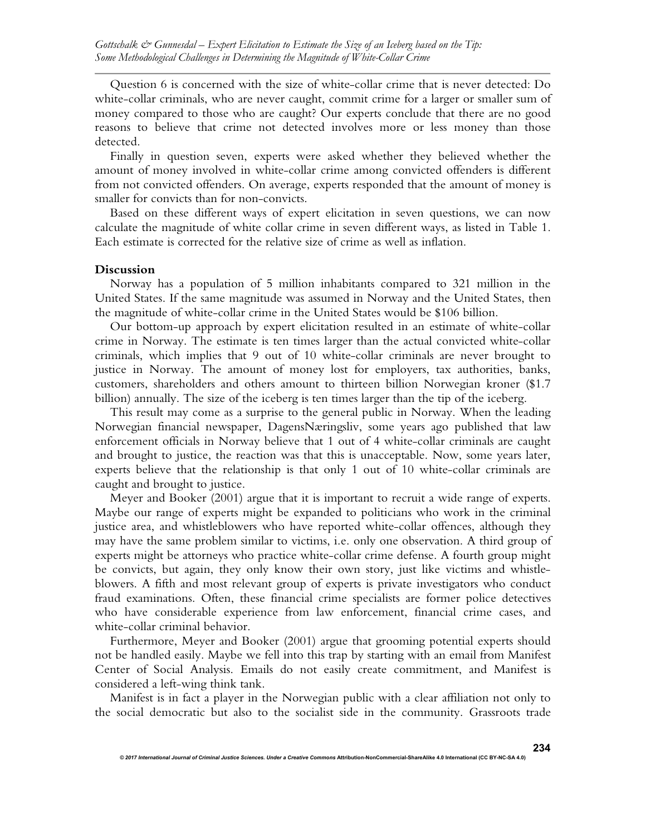Question 6 is concerned with the size of white-collar crime that is never detected: Do white-collar criminals, who are never caught, commit crime for a larger or smaller sum of money compared to those who are caught? Our experts conclude that there are no good reasons to believe that crime not detected involves more or less money than those detected.

Finally in question seven, experts were asked whether they believed whether the amount of money involved in white-collar crime among convicted offenders is different from not convicted offenders. On average, experts responded that the amount of money is smaller for convicts than for non-convicts.

Based on these different ways of expert elicitation in seven questions, we can now calculate the magnitude of white collar crime in seven different ways, as listed in Table 1. Each estimate is corrected for the relative size of crime as well as inflation.

#### **Discussion**

Norway has a population of 5 million inhabitants compared to 321 million in the United States. If the same magnitude was assumed in Norway and the United States, then the magnitude of white-collar crime in the United States would be \$106 billion.

Our bottom-up approach by expert elicitation resulted in an estimate of white-collar crime in Norway. The estimate is ten times larger than the actual convicted white-collar criminals, which implies that 9 out of 10 white-collar criminals are never brought to justice in Norway. The amount of money lost for employers, tax authorities, banks, customers, shareholders and others amount to thirteen billion Norwegian kroner (\$1.7 billion) annually. The size of the iceberg is ten times larger than the tip of the iceberg.

This result may come as a surprise to the general public in Norway. When the leading Norwegian financial newspaper, DagensNæringsliv, some years ago published that law enforcement officials in Norway believe that 1 out of 4 white-collar criminals are caught and brought to justice, the reaction was that this is unacceptable. Now, some years later, experts believe that the relationship is that only 1 out of 10 white-collar criminals are caught and brought to justice.

Meyer and Booker (2001) argue that it is important to recruit a wide range of experts. Maybe our range of experts might be expanded to politicians who work in the criminal justice area, and whistleblowers who have reported white-collar offences, although they may have the same problem similar to victims, i.e. only one observation. A third group of experts might be attorneys who practice white-collar crime defense. A fourth group might be convicts, but again, they only know their own story, just like victims and whistleblowers. A fifth and most relevant group of experts is private investigators who conduct fraud examinations. Often, these financial crime specialists are former police detectives who have considerable experience from law enforcement, financial crime cases, and white-collar criminal behavior.

Furthermore, Meyer and Booker (2001) argue that grooming potential experts should not be handled easily. Maybe we fell into this trap by starting with an email from Manifest Center of Social Analysis. Emails do not easily create commitment, and Manifest is considered a left-wing think tank.

Manifest is in fact a player in the Norwegian public with a clear affiliation not only to the social democratic but also to the socialist side in the community. Grassroots trade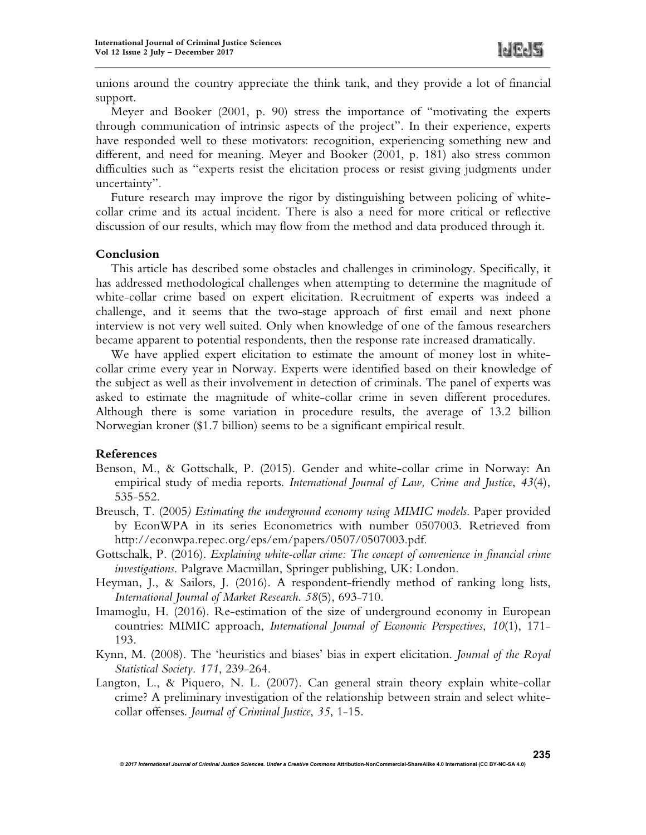unions around the country appreciate the think tank, and they provide a lot of financial support.

Meyer and Booker (2001, p. 90) stress the importance of "motivating the experts through communication of intrinsic aspects of the project". In their experience, experts have responded well to these motivators: recognition, experiencing something new and different, and need for meaning. Meyer and Booker (2001, p. 181) also stress common difficulties such as "experts resist the elicitation process or resist giving judgments under uncertainty".

Future research may improve the rigor by distinguishing between policing of whitecollar crime and its actual incident. There is also a need for more critical or reflective discussion of our results, which may flow from the method and data produced through it.

### **Conclusion**

This article has described some obstacles and challenges in criminology. Specifically, it has addressed methodological challenges when attempting to determine the magnitude of white-collar crime based on expert elicitation. Recruitment of experts was indeed a challenge, and it seems that the two-stage approach of first email and next phone interview is not very well suited. Only when knowledge of one of the famous researchers became apparent to potential respondents, then the response rate increased dramatically.

We have applied expert elicitation to estimate the amount of money lost in whitecollar crime every year in Norway. Experts were identified based on their knowledge of the subject as well as their involvement in detection of criminals. The panel of experts was asked to estimate the magnitude of white-collar crime in seven different procedures. Although there is some variation in procedure results, the average of 13.2 billion Norwegian kroner (\$1.7 billion) seems to be a significant empirical result.

## **References**

- Benson, M., & Gottschalk, P. (2015). Gender and white-collar crime in Norway: An empirical study of media reports. *International Journal of Law, Crime and Justice*, *43*(4), 535-552.
- Breusch, T. (2005*) Estimating the underground economy using MIMIC models*. Paper provided by EconWPA in its series Econometrics with number 0507003. Retrieved from http://econwpa.repec.org/eps/em/papers/0507/0507003.pdf.
- Gottschalk, P. (2016). *Explaining white-collar crime: The concept of convenience in financial crime investigations*. Palgrave Macmillan, Springer publishing, UK: London.
- Heyman, J., & Sailors, J. (2016). A respondent-friendly method of ranking long lists, *International Journal of Market Research*. *58*(5), 693-710.
- Imamoglu, H. (2016). Re-estimation of the size of underground economy in European countries: MIMIC approach, *International Journal of Economic Perspectives*, *10*(1), 171- 193.
- Kynn, M. (2008). The 'heuristics and biases' bias in expert elicitation. *Journal of the Royal Statistical Society*. *171*, 239-264.
- Langton, L., & Piquero, N. L. (2007). Can general strain theory explain white-collar crime? A preliminary investigation of the relationship between strain and select whitecollar offenses. *Journal of Criminal Justice*, *35*, 1-15.